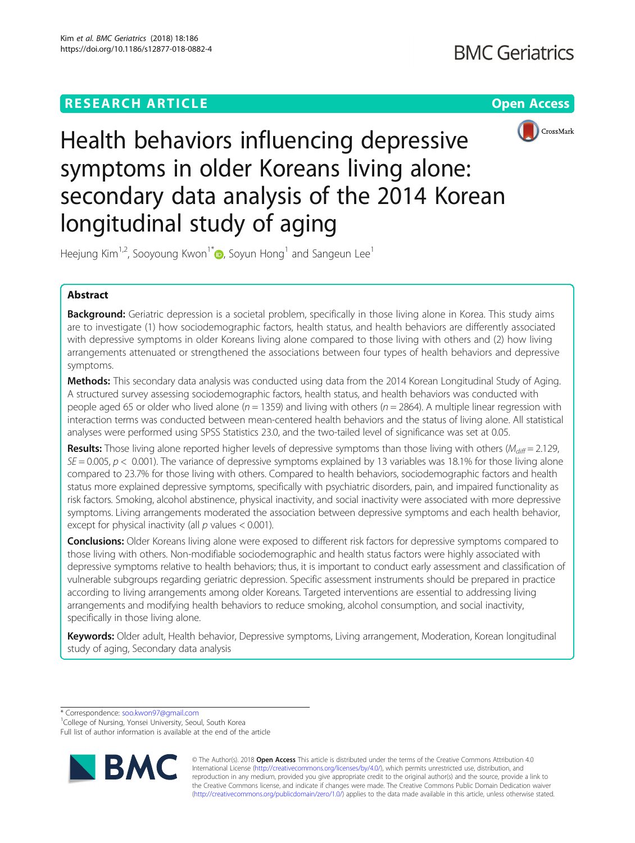



Health behaviors influencing depressive symptoms in older Koreans living alone: secondary data analysis of the 2014 Korean longitudinal study of aging

Heejung Kim<sup>1[,](http://orcid.org/0000-0003-3719-0111)2</sup>, Sooyoung Kwon<sup>1\*</sup> $\bullet$ , Soyun Hong<sup>1</sup> and Sangeun Lee<sup>1</sup>

# Abstract

Background: Geriatric depression is a societal problem, specifically in those living alone in Korea. This study aims are to investigate (1) how sociodemographic factors, health status, and health behaviors are differently associated with depressive symptoms in older Koreans living alone compared to those living with others and (2) how living arrangements attenuated or strengthened the associations between four types of health behaviors and depressive symptoms.

Methods: This secondary data analysis was conducted using data from the 2014 Korean Longitudinal Study of Aging. A structured survey assessing sociodemographic factors, health status, and health behaviors was conducted with people aged 65 or older who lived alone ( $n = 1359$ ) and living with others ( $n = 2864$ ). A multiple linear regression with interaction terms was conducted between mean-centered health behaviors and the status of living alone. All statistical analyses were performed using SPSS Statistics 23.0, and the two-tailed level of significance was set at 0.05.

**Results:** Those living alone reported higher levels of depressive symptoms than those living with others ( $M_{diff} = 2.129$ ,  $SE = 0.005$ ,  $p < 0.001$ ). The variance of depressive symptoms explained by 13 variables was 18.1% for those living alone compared to 23.7% for those living with others. Compared to health behaviors, sociodemographic factors and health status more explained depressive symptoms, specifically with psychiatric disorders, pain, and impaired functionality as risk factors. Smoking, alcohol abstinence, physical inactivity, and social inactivity were associated with more depressive symptoms. Living arrangements moderated the association between depressive symptoms and each health behavior, except for physical inactivity (all  $p$  values < 0.001).

**Conclusions:** Older Koreans living alone were exposed to different risk factors for depressive symptoms compared to those living with others. Non-modifiable sociodemographic and health status factors were highly associated with depressive symptoms relative to health behaviors; thus, it is important to conduct early assessment and classification of vulnerable subgroups regarding geriatric depression. Specific assessment instruments should be prepared in practice according to living arrangements among older Koreans. Targeted interventions are essential to addressing living arrangements and modifying health behaviors to reduce smoking, alcohol consumption, and social inactivity, specifically in those living alone.

Keywords: Older adult, Health behavior, Depressive symptoms, Living arrangement, Moderation, Korean longitudinal study of aging, Secondary data analysis

\* Correspondence: [soo.kwon97@gmail.com](mailto:soo.kwon97@gmail.com) <sup>1</sup>

Full list of author information is available at the end of the article



© The Author(s). 2018 Open Access This article is distributed under the terms of the Creative Commons Attribution 4.0 International License [\(http://creativecommons.org/licenses/by/4.0/](http://creativecommons.org/licenses/by/4.0/)), which permits unrestricted use, distribution, and reproduction in any medium, provided you give appropriate credit to the original author(s) and the source, provide a link to the Creative Commons license, and indicate if changes were made. The Creative Commons Public Domain Dedication waiver [\(http://creativecommons.org/publicdomain/zero/1.0/](http://creativecommons.org/publicdomain/zero/1.0/)) applies to the data made available in this article, unless otherwise stated.

<sup>&</sup>lt;sup>1</sup>College of Nursing, Yonsei University, Seoul, South Korea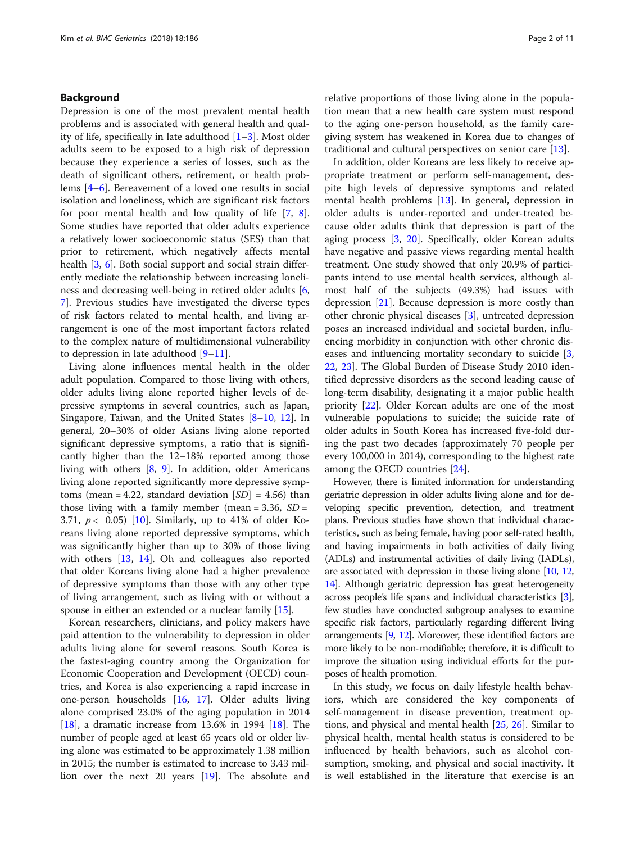## Background

Depression is one of the most prevalent mental health problems and is associated with general health and quality of life, specifically in late adulthood  $[1-3]$  $[1-3]$  $[1-3]$  $[1-3]$ . Most older adults seem to be exposed to a high risk of depression because they experience a series of losses, such as the death of significant others, retirement, or health problems [\[4](#page-9-0)–[6](#page-9-0)]. Bereavement of a loved one results in social isolation and loneliness, which are significant risk factors for poor mental health and low quality of life [\[7,](#page-9-0) [8](#page-9-0)]. Some studies have reported that older adults experience a relatively lower socioeconomic status (SES) than that prior to retirement, which negatively affects mental health [\[3](#page-9-0), [6](#page-9-0)]. Both social support and social strain differently mediate the relationship between increasing loneliness and decreasing well-being in retired older adults [\[6](#page-9-0), [7\]](#page-9-0). Previous studies have investigated the diverse types of risk factors related to mental health, and living arrangement is one of the most important factors related to the complex nature of multidimensional vulnerability to depression in late adulthood [\[9](#page-9-0)–[11\]](#page-9-0).

Living alone influences mental health in the older adult population. Compared to those living with others, older adults living alone reported higher levels of depressive symptoms in several countries, such as Japan, Singapore, Taiwan, and the United States [\[8](#page-9-0)–[10,](#page-9-0) [12\]](#page-9-0). In general, 20–30% of older Asians living alone reported significant depressive symptoms, a ratio that is significantly higher than the 12–18% reported among those living with others [[8,](#page-9-0) [9\]](#page-9-0). In addition, older Americans living alone reported significantly more depressive symptoms (mean = 4.22, standard deviation  $|SD| = 4.56$ ) than those living with a family member (mean =  $3.36$ ,  $SD =$ 3.71,  $p < 0.05$ ) [[10](#page-9-0)]. Similarly, up to 41% of older Koreans living alone reported depressive symptoms, which was significantly higher than up to 30% of those living with others [\[13](#page-10-0), [14](#page-10-0)]. Oh and colleagues also reported that older Koreans living alone had a higher prevalence of depressive symptoms than those with any other type of living arrangement, such as living with or without a spouse in either an extended or a nuclear family [[15](#page-10-0)].

Korean researchers, clinicians, and policy makers have paid attention to the vulnerability to depression in older adults living alone for several reasons. South Korea is the fastest-aging country among the Organization for Economic Cooperation and Development (OECD) countries, and Korea is also experiencing a rapid increase in one-person households [[16](#page-10-0), [17](#page-10-0)]. Older adults living alone comprised 23.0% of the aging population in 2014 [[18\]](#page-10-0), a dramatic increase from 13.6% in 1994 [\[18](#page-10-0)]. The number of people aged at least 65 years old or older living alone was estimated to be approximately 1.38 million in 2015; the number is estimated to increase to 3.43 million over the next 20 years [[19](#page-10-0)]. The absolute and relative proportions of those living alone in the population mean that a new health care system must respond to the aging one-person household, as the family caregiving system has weakened in Korea due to changes of traditional and cultural perspectives on senior care [\[13\]](#page-10-0).

In addition, older Koreans are less likely to receive appropriate treatment or perform self-management, despite high levels of depressive symptoms and related mental health problems [\[13\]](#page-10-0). In general, depression in older adults is under-reported and under-treated because older adults think that depression is part of the aging process [[3,](#page-9-0) [20](#page-10-0)]. Specifically, older Korean adults have negative and passive views regarding mental health treatment. One study showed that only 20.9% of participants intend to use mental health services, although almost half of the subjects (49.3%) had issues with depression [\[21](#page-10-0)]. Because depression is more costly than other chronic physical diseases [[3\]](#page-9-0), untreated depression poses an increased individual and societal burden, influencing morbidity in conjunction with other chronic diseases and influencing mortality secondary to suicide [\[3](#page-9-0), [22,](#page-10-0) [23](#page-10-0)]. The Global Burden of Disease Study 2010 identified depressive disorders as the second leading cause of long-term disability, designating it a major public health priority [[22](#page-10-0)]. Older Korean adults are one of the most vulnerable populations to suicide; the suicide rate of older adults in South Korea has increased five-fold during the past two decades (approximately 70 people per every 100,000 in 2014), corresponding to the highest rate among the OECD countries [\[24](#page-10-0)].

However, there is limited information for understanding geriatric depression in older adults living alone and for developing specific prevention, detection, and treatment plans. Previous studies have shown that individual characteristics, such as being female, having poor self-rated health, and having impairments in both activities of daily living (ADLs) and instrumental activities of daily living (IADLs), are associated with depression in those living alone [[10](#page-9-0), [12](#page-9-0), [14](#page-10-0)]. Although geriatric depression has great heterogeneity across people's life spans and individual characteristics [[3](#page-9-0)], few studies have conducted subgroup analyses to examine specific risk factors, particularly regarding different living arrangements [\[9](#page-9-0), [12\]](#page-9-0). Moreover, these identified factors are more likely to be non-modifiable; therefore, it is difficult to improve the situation using individual efforts for the purposes of health promotion.

In this study, we focus on daily lifestyle health behaviors, which are considered the key components of self-management in disease prevention, treatment options, and physical and mental health [[25,](#page-10-0) [26\]](#page-10-0). Similar to physical health, mental health status is considered to be influenced by health behaviors, such as alcohol consumption, smoking, and physical and social inactivity. It is well established in the literature that exercise is an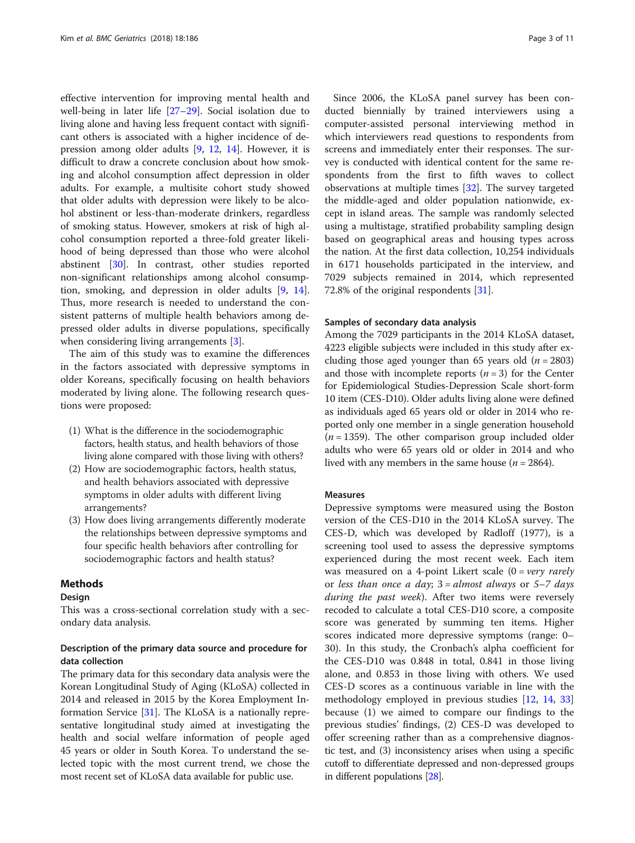effective intervention for improving mental health and well-being in later life [\[27](#page-10-0)–[29\]](#page-10-0). Social isolation due to living alone and having less frequent contact with significant others is associated with a higher incidence of depression among older adults [[9](#page-9-0), [12,](#page-9-0) [14](#page-10-0)]. However, it is difficult to draw a concrete conclusion about how smoking and alcohol consumption affect depression in older adults. For example, a multisite cohort study showed that older adults with depression were likely to be alcohol abstinent or less-than-moderate drinkers, regardless of smoking status. However, smokers at risk of high alcohol consumption reported a three-fold greater likelihood of being depressed than those who were alcohol abstinent [[30](#page-10-0)]. In contrast, other studies reported non-significant relationships among alcohol consumption, smoking, and depression in older adults [\[9](#page-9-0), [14](#page-10-0)]. Thus, more research is needed to understand the consistent patterns of multiple health behaviors among depressed older adults in diverse populations, specifically when considering living arrangements [[3\]](#page-9-0).

The aim of this study was to examine the differences in the factors associated with depressive symptoms in older Koreans, specifically focusing on health behaviors moderated by living alone. The following research questions were proposed:

- (1) What is the difference in the sociodemographic factors, health status, and health behaviors of those living alone compared with those living with others?
- (2) How are sociodemographic factors, health status, and health behaviors associated with depressive symptoms in older adults with different living arrangements?
- (3) How does living arrangements differently moderate the relationships between depressive symptoms and four specific health behaviors after controlling for sociodemographic factors and health status?

## Methods

### Design

This was a cross-sectional correlation study with a secondary data analysis.

## Description of the primary data source and procedure for data collection

The primary data for this secondary data analysis were the Korean Longitudinal Study of Aging (KLoSA) collected in 2014 and released in 2015 by the Korea Employment Information Service [\[31\]](#page-10-0). The KLoSA is a nationally representative longitudinal study aimed at investigating the health and social welfare information of people aged 45 years or older in South Korea. To understand the selected topic with the most current trend, we chose the most recent set of KLoSA data available for public use.

Since 2006, the KLoSA panel survey has been conducted biennially by trained interviewers using a computer-assisted personal interviewing method in which interviewers read questions to respondents from screens and immediately enter their responses. The survey is conducted with identical content for the same respondents from the first to fifth waves to collect observations at multiple times [\[32\]](#page-10-0). The survey targeted the middle-aged and older population nationwide, except in island areas. The sample was randomly selected using a multistage, stratified probability sampling design based on geographical areas and housing types across the nation. At the first data collection, 10,254 individuals in 6171 households participated in the interview, and 7029 subjects remained in 2014, which represented 72.8% of the original respondents [[31\]](#page-10-0).

### Samples of secondary data analysis

Among the 7029 participants in the 2014 KLoSA dataset, 4223 eligible subjects were included in this study after excluding those aged younger than 65 years old ( $n = 2803$ ) and those with incomplete reports  $(n = 3)$  for the Center for Epidemiological Studies-Depression Scale short-form 10 item (CES-D10). Older adults living alone were defined as individuals aged 65 years old or older in 2014 who reported only one member in a single generation household  $(n = 1359)$ . The other comparison group included older adults who were 65 years old or older in 2014 and who lived with any members in the same house ( $n = 2864$ ).

### Measures

Depressive symptoms were measured using the Boston version of the CES-D10 in the 2014 KLoSA survey. The CES-D, which was developed by Radloff (1977), is a screening tool used to assess the depressive symptoms experienced during the most recent week. Each item was measured on a 4-point Likert scale  $(0 = \text{very} \text{ rarely})$ or less than once a day;  $3 =$  almost always or  $5 - 7$  days during the past week). After two items were reversely recoded to calculate a total CES-D10 score, a composite score was generated by summing ten items. Higher scores indicated more depressive symptoms (range: 0– 30). In this study, the Cronbach's alpha coefficient for the CES-D10 was 0.848 in total, 0.841 in those living alone, and 0.853 in those living with others. We used CES-D scores as a continuous variable in line with the methodology employed in previous studies [\[12,](#page-9-0) [14](#page-10-0), [33](#page-10-0)] because (1) we aimed to compare our findings to the previous studies' findings, (2) CES-D was developed to offer screening rather than as a comprehensive diagnostic test, and (3) inconsistency arises when using a specific cutoff to differentiate depressed and non-depressed groups in different populations [\[28](#page-10-0)].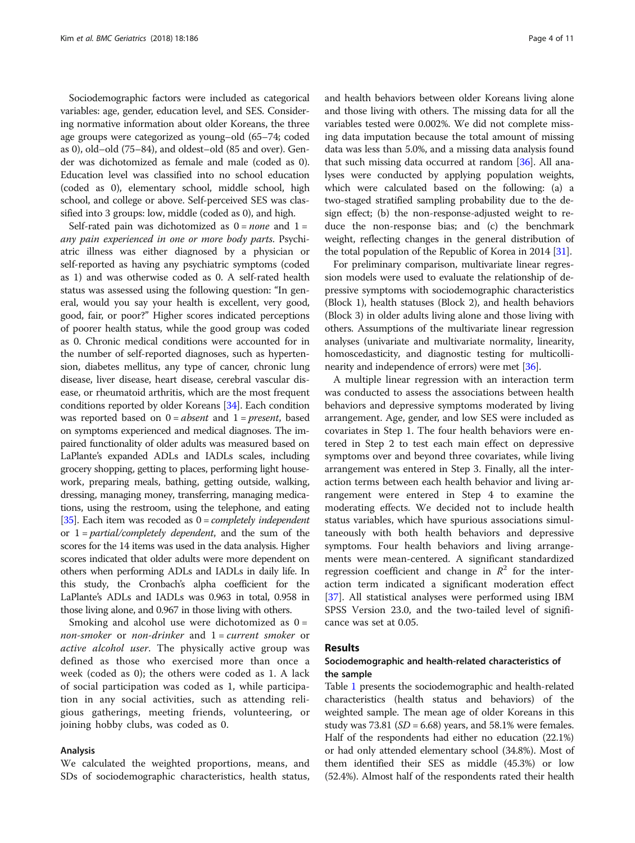Sociodemographic factors were included as categorical variables: age, gender, education level, and SES. Considering normative information about older Koreans, the three age groups were categorized as young–old (65–74; coded as 0), old–old (75–84), and oldest–old (85 and over). Gender was dichotomized as female and male (coded as 0). Education level was classified into no school education (coded as 0), elementary school, middle school, high school, and college or above. Self-perceived SES was classified into 3 groups: low, middle (coded as 0), and high.

Self-rated pain was dichotomized as  $0 = none$  and  $1 =$ any pain experienced in one or more body parts. Psychiatric illness was either diagnosed by a physician or self-reported as having any psychiatric symptoms (coded as 1) and was otherwise coded as 0. A self-rated health status was assessed using the following question: "In general, would you say your health is excellent, very good, good, fair, or poor?" Higher scores indicated perceptions of poorer health status, while the good group was coded as 0. Chronic medical conditions were accounted for in the number of self-reported diagnoses, such as hypertension, diabetes mellitus, any type of cancer, chronic lung disease, liver disease, heart disease, cerebral vascular disease, or rheumatoid arthritis, which are the most frequent conditions reported by older Koreans [\[34](#page-10-0)]. Each condition was reported based on  $0 = absent$  and  $1 = present$ , based on symptoms experienced and medical diagnoses. The impaired functionality of older adults was measured based on LaPlante's expanded ADLs and IADLs scales, including grocery shopping, getting to places, performing light housework, preparing meals, bathing, getting outside, walking, dressing, managing money, transferring, managing medications, using the restroom, using the telephone, and eating [[35](#page-10-0)]. Each item was recoded as  $0 = completely$  independent or  $1 =$  *partial/completely dependent*, and the sum of the scores for the 14 items was used in the data analysis. Higher scores indicated that older adults were more dependent on others when performing ADLs and IADLs in daily life. In this study, the Cronbach's alpha coefficient for the LaPlante's ADLs and IADLs was 0.963 in total, 0.958 in those living alone, and 0.967 in those living with others.

Smoking and alcohol use were dichotomized as  $0 =$ non-smoker or non-drinker and  $1 = current$  smoker or active alcohol user. The physically active group was defined as those who exercised more than once a week (coded as 0); the others were coded as 1. A lack of social participation was coded as 1, while participation in any social activities, such as attending religious gatherings, meeting friends, volunteering, or joining hobby clubs, was coded as 0.

#### Analysis

We calculated the weighted proportions, means, and SDs of sociodemographic characteristics, health status, and health behaviors between older Koreans living alone and those living with others. The missing data for all the variables tested were 0.002%. We did not complete missing data imputation because the total amount of missing data was less than 5.0%, and a missing data analysis found that such missing data occurred at random [[36](#page-10-0)]. All analyses were conducted by applying population weights, which were calculated based on the following: (a) a two-staged stratified sampling probability due to the design effect; (b) the non-response-adjusted weight to reduce the non-response bias; and (c) the benchmark weight, reflecting changes in the general distribution of the total population of the Republic of Korea in 2014 [[31](#page-10-0)].

For preliminary comparison, multivariate linear regression models were used to evaluate the relationship of depressive symptoms with sociodemographic characteristics (Block 1), health statuses (Block 2), and health behaviors (Block 3) in older adults living alone and those living with others. Assumptions of the multivariate linear regression analyses (univariate and multivariate normality, linearity, homoscedasticity, and diagnostic testing for multicollinearity and independence of errors) were met [[36\]](#page-10-0).

A multiple linear regression with an interaction term was conducted to assess the associations between health behaviors and depressive symptoms moderated by living arrangement. Age, gender, and low SES were included as covariates in Step 1. The four health behaviors were entered in Step 2 to test each main effect on depressive symptoms over and beyond three covariates, while living arrangement was entered in Step 3. Finally, all the interaction terms between each health behavior and living arrangement were entered in Step 4 to examine the moderating effects. We decided not to include health status variables, which have spurious associations simultaneously with both health behaviors and depressive symptoms. Four health behaviors and living arrangements were mean-centered. A significant standardized regression coefficient and change in  $\mathbb{R}^2$  for the interaction term indicated a significant moderation effect [[37\]](#page-10-0). All statistical analyses were performed using IBM SPSS Version 23.0, and the two-tailed level of significance was set at 0.05.

## Results

## Sociodemographic and health-related characteristics of the sample

Table [1](#page-4-0) presents the sociodemographic and health-related characteristics (health status and behaviors) of the weighted sample. The mean age of older Koreans in this study was 73.81 ( $SD = 6.68$ ) years, and 58.1% were females. Half of the respondents had either no education (22.1%) or had only attended elementary school (34.8%). Most of them identified their SES as middle (45.3%) or low (52.4%). Almost half of the respondents rated their health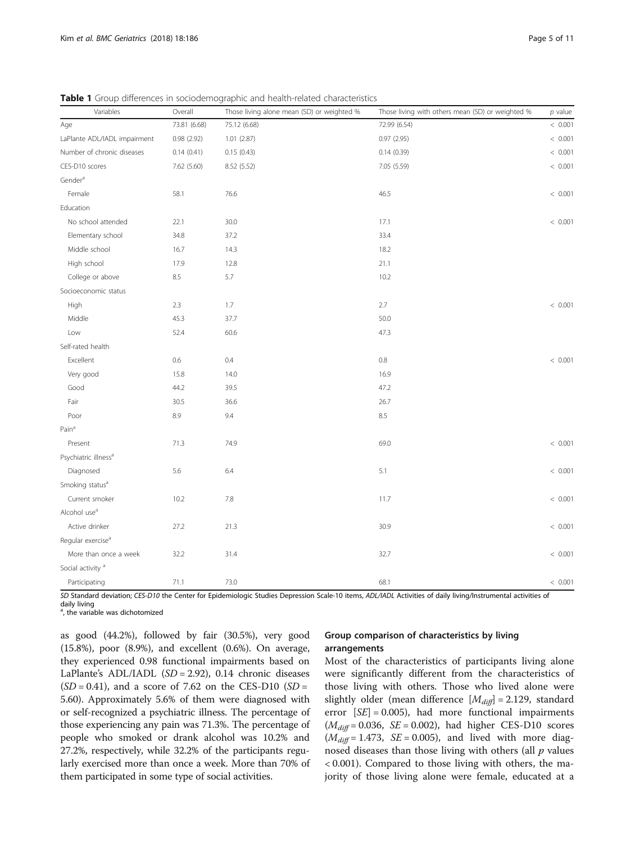| Variables                        | Overall      | Those living alone mean (SD) or weighted % | Those living with others mean (SD) or weighted % | $p$ value |
|----------------------------------|--------------|--------------------------------------------|--------------------------------------------------|-----------|
| Age                              | 73.81 (6.68) | 75.12 (6.68)                               | 72.99 (6.54)                                     | < 0.001   |
| LaPlante ADL/IADL impairment     | 0.98(2.92)   | 1.01(2.87)                                 | 0.97(2.95)                                       | < 0.001   |
| Number of chronic diseases       | 0.14(0.41)   | 0.15(0.43)                                 | 0.14(0.39)                                       | < 0.001   |
| CES-D10 scores                   | 7.62 (5.60)  | 8.52 (5.52)                                | 7.05 (5.59)                                      | < 0.001   |
| Gender <sup>a</sup>              |              |                                            |                                                  |           |
| Female                           | 58.1         | 76.6                                       | 46.5                                             | < 0.001   |
| Education                        |              |                                            |                                                  |           |
| No school attended               | 22.1         | 30.0                                       | 17.1                                             | < 0.001   |
| Elementary school                | 34.8         | 37.2                                       | 33.4                                             |           |
| Middle school                    | 16.7         | 14.3                                       | 18.2                                             |           |
| High school                      | 17.9         | 12.8                                       | 21.1                                             |           |
| College or above                 | 8.5          | 5.7                                        | 10.2                                             |           |
| Socioeconomic status             |              |                                            |                                                  |           |
| High                             | 2.3          | 1.7                                        | 2.7                                              | < 0.001   |
| Middle                           | 45.3         | 37.7                                       | 50.0                                             |           |
| Low                              | 52.4         | 60.6                                       | 47.3                                             |           |
| Self-rated health                |              |                                            |                                                  |           |
| Excellent                        | 0.6          | 0.4                                        | 0.8                                              | < 0.001   |
| Very good                        | 15.8         | 14.0                                       | 16.9                                             |           |
| Good                             | 44.2         | 39.5                                       | 47.2                                             |           |
| Fair                             | 30.5         | 36.6                                       | 26.7                                             |           |
| Poor                             | 8.9          | 9.4                                        | 8.5                                              |           |
| Pain <sup>a</sup>                |              |                                            |                                                  |           |
| Present                          | 71.3         | 74.9                                       | 69.0                                             | < 0.001   |
| Psychiatric illness <sup>a</sup> |              |                                            |                                                  |           |
| Diagnosed                        | 5.6          | 6.4                                        | 5.1                                              | < 0.001   |
| Smoking status <sup>a</sup>      |              |                                            |                                                  |           |
| Current smoker                   | 10.2         | 7.8                                        | 11.7                                             | < 0.001   |
| Alcohol use <sup>a</sup>         |              |                                            |                                                  |           |
| Active drinker                   | 27.2         | 21.3                                       | 30.9                                             | < 0.001   |
| Regular exercise <sup>a</sup>    |              |                                            |                                                  |           |
| More than once a week            | 32.2         | 31.4                                       | 32.7                                             | < 0.001   |
| Social activity <sup>a</sup>     |              |                                            |                                                  |           |
| Participating                    | 71.1         | 73.0                                       | 68.1                                             | < 0.001   |

<span id="page-4-0"></span>Table 1 Group differences in sociodemographic and health-related characteristics

SD Standard deviation; CES-D10 the Center for Epidemiologic Studies Depression Scale-10 items, ADL/IADL Activities of daily living/Instrumental activities of

daily living

<sup>a</sup>, the variable was dichotomized

as good (44.2%), followed by fair (30.5%), very good (15.8%), poor (8.9%), and excellent (0.6%). On average, they experienced 0.98 functional impairments based on LaPlante's ADL/IADL  $(SD = 2.92)$ , 0.14 chronic diseases  $(SD = 0.41)$ , and a score of 7.62 on the CES-D10  $(SD = 0.41)$ 5.60). Approximately 5.6% of them were diagnosed with or self-recognized a psychiatric illness. The percentage of those experiencing any pain was 71.3%. The percentage of people who smoked or drank alcohol was 10.2% and 27.2%, respectively, while 32.2% of the participants regularly exercised more than once a week. More than 70% of them participated in some type of social activities.

## Group comparison of characteristics by living arrangements

Most of the characteristics of participants living alone were significantly different from the characteristics of those living with others. Those who lived alone were slightly older (mean difference  $[M_{diff}] = 2.129$ , standard error  $[SE] = 0.005$ ), had more functional impairments  $(M_{diff} = 0.036, SE = 0.002)$ , had higher CES-D10 scores  $(M_{diff} = 1.473, \ \ SE = 0.005)$ , and lived with more diagnosed diseases than those living with others (all  $p$  values < 0.001). Compared to those living with others, the majority of those living alone were female, educated at a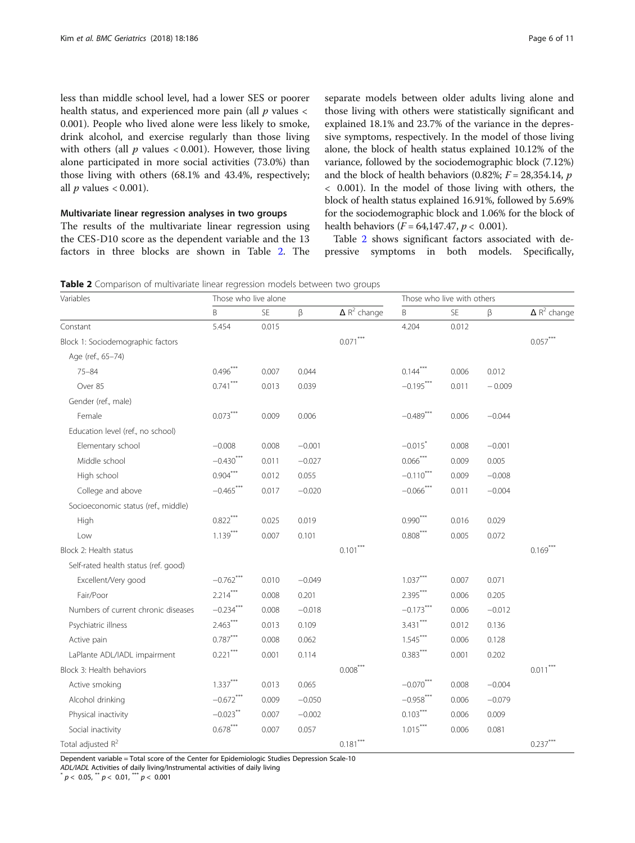less than middle school level, had a lower SES or poorer health status, and experienced more pain (all  $p$  values  $\lt$ 0.001). People who lived alone were less likely to smoke, drink alcohol, and exercise regularly than those living with others (all  $p$  values < 0.001). However, those living alone participated in more social activities (73.0%) than those living with others (68.1% and 43.4%, respectively; all  $p$  values  $< 0.001$ ).

## Multivariate linear regression analyses in two groups

The results of the multivariate linear regression using the CES-D10 score as the dependent variable and the 13 factors in three blocks are shown in Table 2. The separate models between older adults living alone and those living with others were statistically significant and explained 18.1% and 23.7% of the variance in the depressive symptoms, respectively. In the model of those living alone, the block of health status explained 10.12% of the variance, followed by the sociodemographic block (7.12%) and the block of health behaviors (0.82%;  $F = 28,354.14$ , p < 0.001). In the model of those living with others, the block of health status explained 16.91%, followed by 5.69% for the sociodemographic block and 1.06% for the block of health behaviors ( $F = 64,147.47, p < 0.001$ ).

Table 2 shows significant factors associated with depressive symptoms in both models. Specifically,

Table 2 Comparison of multivariate linear regression models between two groups

| Variables                            | Those who live alone |           |          |                                | Those who live with others |       |          |                                |
|--------------------------------------|----------------------|-----------|----------|--------------------------------|----------------------------|-------|----------|--------------------------------|
|                                      | B                    | <b>SE</b> | $\beta$  | $\Delta$ R <sup>2</sup> change | B                          | SE    | β        | $\Delta$ R <sup>2</sup> change |
| Constant                             | 5.454                | 0.015     |          |                                | 4.204                      | 0.012 |          |                                |
| Block 1: Sociodemographic factors    |                      |           |          | $0.071***$                     |                            |       |          | $0.057***$                     |
| Age (ref., 65-74)                    |                      |           |          |                                |                            |       |          |                                |
| $75 - 84$                            | $0.496***$           | 0.007     | 0.044    |                                | $0.144***$                 | 0.006 | 0.012    |                                |
| Over 85                              | $0.741***$           | 0.013     | 0.039    |                                | $-0.195***$                | 0.011 | $-0.009$ |                                |
| Gender (ref., male)                  |                      |           |          |                                |                            |       |          |                                |
| Female                               | $0.073***$           | 0.009     | 0.006    |                                | $-0.489***$                | 0.006 | $-0.044$ |                                |
| Education level (ref., no school)    |                      |           |          |                                |                            |       |          |                                |
| Elementary school                    | $-0.008$             | 0.008     | $-0.001$ |                                | $-0.015$ <sup>*</sup>      | 0.008 | $-0.001$ |                                |
| Middle school                        | $-0.430***$          | 0.011     | $-0.027$ |                                | $0.066^{***}$              | 0.009 | 0.005    |                                |
| High school                          | $0.904***$           | 0.012     | 0.055    |                                | $-0.110$ ***               | 0.009 | $-0.008$ |                                |
| College and above                    | $-0.465***$          | 0.017     | $-0.020$ |                                | $-0.066$ ***               | 0.011 | $-0.004$ |                                |
| Socioeconomic status (ref., middle)  |                      |           |          |                                |                            |       |          |                                |
| High                                 | $0.822***$           | 0.025     | 0.019    |                                | $0.990***$                 | 0.016 | 0.029    |                                |
| Low                                  | $1.139***$           | 0.007     | 0.101    |                                | $0.808***$                 | 0.005 | 0.072    |                                |
| Block 2: Health status               |                      |           |          | $0.101***$                     |                            |       |          | $0.169***$                     |
| Self-rated health status (ref. good) |                      |           |          |                                |                            |       |          |                                |
| Excellent/Very good                  | $-0.762$ ***         | 0.010     | $-0.049$ |                                | $1.037***$                 | 0.007 | 0.071    |                                |
| Fair/Poor                            | $2.214***$           | 0.008     | 0.201    |                                | $2.395***$                 | 0.006 | 0.205    |                                |
| Numbers of current chronic diseases  | $-0.234***$          | 0.008     | $-0.018$ |                                | $-0.173***$                | 0.006 | $-0.012$ |                                |
| Psychiatric illness                  | $2.463***$           | 0.013     | 0.109    |                                | $3.431***$                 | 0.012 | 0.136    |                                |
| Active pain                          | $0.787***$           | 0.008     | 0.062    |                                | $1.545***$                 | 0.006 | 0.128    |                                |
| LaPlante ADL/IADL impairment         | $0.221***$           | 0.001     | 0.114    |                                | $0.383***$                 | 0.001 | 0.202    |                                |
| Block 3: Health behaviors            |                      |           |          | $0.008***$                     |                            |       |          | $0.011***$                     |
| Active smoking                       | $1.337***$           | 0.013     | 0.065    |                                | $-0.070***$                | 0.008 | $-0.004$ |                                |
| Alcohol drinking                     | $-0.672$ ***         | 0.009     | $-0.050$ |                                | $-0.958***$                | 0.006 | $-0.079$ |                                |
| Physical inactivity                  | $-0.023***$          | 0.007     | $-0.002$ |                                | $0.103***$                 | 0.006 | 0.009    |                                |
| Social inactivity                    | $0.678***$           | 0.007     | 0.057    |                                | $1.015***$                 | 0.006 | 0.081    |                                |
| Total adjusted R <sup>2</sup>        |                      |           |          | $0.181***$                     |                            |       |          | $0.237***$                     |

Dependent variable = Total score of the Center for Epidemiologic Studies Depression Scale-10

ADL/IADL Activities of daily living/Instrumental activities of daily living  $p < 0.05$ ,  $\binom{m}{p} < 0.01$ ,  $\binom{m}{p} < 0.001$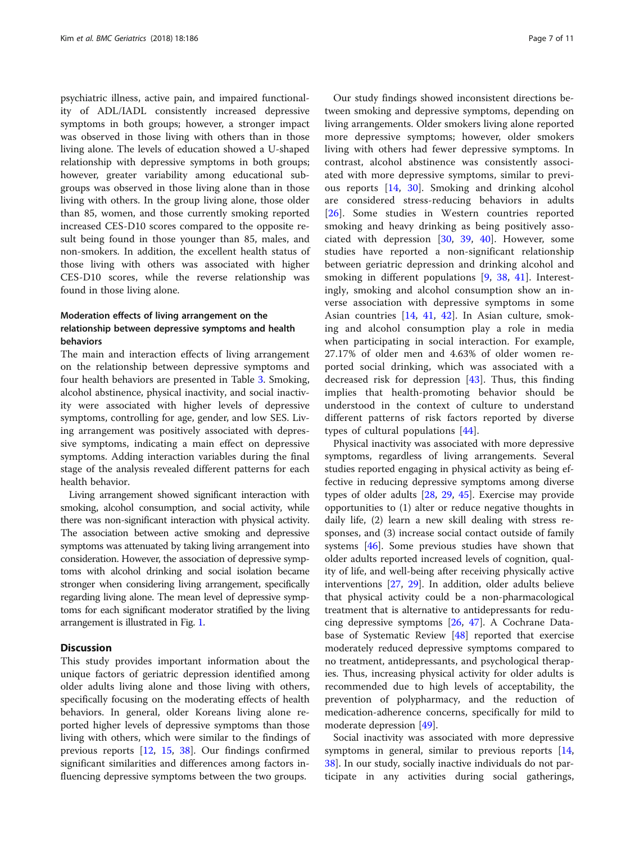psychiatric illness, active pain, and impaired functionality of ADL/IADL consistently increased depressive symptoms in both groups; however, a stronger impact was observed in those living with others than in those living alone. The levels of education showed a U-shaped relationship with depressive symptoms in both groups; however, greater variability among educational subgroups was observed in those living alone than in those living with others. In the group living alone, those older than 85, women, and those currently smoking reported increased CES-D10 scores compared to the opposite result being found in those younger than 85, males, and non-smokers. In addition, the excellent health status of those living with others was associated with higher CES-D10 scores, while the reverse relationship was found in those living alone.

## Moderation effects of living arrangement on the relationship between depressive symptoms and health behaviors

The main and interaction effects of living arrangement on the relationship between depressive symptoms and four health behaviors are presented in Table [3.](#page-7-0) Smoking, alcohol abstinence, physical inactivity, and social inactivity were associated with higher levels of depressive symptoms, controlling for age, gender, and low SES. Living arrangement was positively associated with depressive symptoms, indicating a main effect on depressive symptoms. Adding interaction variables during the final stage of the analysis revealed different patterns for each health behavior.

Living arrangement showed significant interaction with smoking, alcohol consumption, and social activity, while there was non-significant interaction with physical activity. The association between active smoking and depressive symptoms was attenuated by taking living arrangement into consideration. However, the association of depressive symptoms with alcohol drinking and social isolation became stronger when considering living arrangement, specifically regarding living alone. The mean level of depressive symptoms for each significant moderator stratified by the living arrangement is illustrated in Fig. [1](#page-7-0).

## **Discussion**

This study provides important information about the unique factors of geriatric depression identified among older adults living alone and those living with others, specifically focusing on the moderating effects of health behaviors. In general, older Koreans living alone reported higher levels of depressive symptoms than those living with others, which were similar to the findings of previous reports [\[12](#page-9-0), [15](#page-10-0), [38](#page-10-0)]. Our findings confirmed significant similarities and differences among factors influencing depressive symptoms between the two groups.

Our study findings showed inconsistent directions between smoking and depressive symptoms, depending on living arrangements. Older smokers living alone reported more depressive symptoms; however, older smokers living with others had fewer depressive symptoms. In contrast, alcohol abstinence was consistently associated with more depressive symptoms, similar to previous reports [\[14](#page-10-0), [30](#page-10-0)]. Smoking and drinking alcohol are considered stress-reducing behaviors in adults [[26\]](#page-10-0). Some studies in Western countries reported smoking and heavy drinking as being positively associated with depression [[30,](#page-10-0) [39](#page-10-0), [40](#page-10-0)]. However, some studies have reported a non-significant relationship between geriatric depression and drinking alcohol and smoking in different populations [\[9](#page-9-0), [38](#page-10-0), [41](#page-10-0)]. Interestingly, smoking and alcohol consumption show an inverse association with depressive symptoms in some Asian countries [[14,](#page-10-0) [41,](#page-10-0) [42\]](#page-10-0). In Asian culture, smoking and alcohol consumption play a role in media when participating in social interaction. For example, 27.17% of older men and 4.63% of older women reported social drinking, which was associated with a decreased risk for depression [\[43](#page-10-0)]. Thus, this finding implies that health-promoting behavior should be understood in the context of culture to understand different patterns of risk factors reported by diverse types of cultural populations [\[44](#page-10-0)].

Physical inactivity was associated with more depressive symptoms, regardless of living arrangements. Several studies reported engaging in physical activity as being effective in reducing depressive symptoms among diverse types of older adults [\[28](#page-10-0), [29](#page-10-0), [45](#page-10-0)]. Exercise may provide opportunities to (1) alter or reduce negative thoughts in daily life, (2) learn a new skill dealing with stress responses, and (3) increase social contact outside of family systems [[46\]](#page-10-0). Some previous studies have shown that older adults reported increased levels of cognition, quality of life, and well-being after receiving physically active interventions [\[27](#page-10-0), [29\]](#page-10-0). In addition, older adults believe that physical activity could be a non-pharmacological treatment that is alternative to antidepressants for reducing depressive symptoms [\[26](#page-10-0), [47\]](#page-10-0). A Cochrane Database of Systematic Review [[48\]](#page-10-0) reported that exercise moderately reduced depressive symptoms compared to no treatment, antidepressants, and psychological therapies. Thus, increasing physical activity for older adults is recommended due to high levels of acceptability, the prevention of polypharmacy, and the reduction of medication-adherence concerns, specifically for mild to moderate depression [[49\]](#page-10-0).

Social inactivity was associated with more depressive symptoms in general, similar to previous reports [[14](#page-10-0), [38\]](#page-10-0). In our study, socially inactive individuals do not participate in any activities during social gatherings,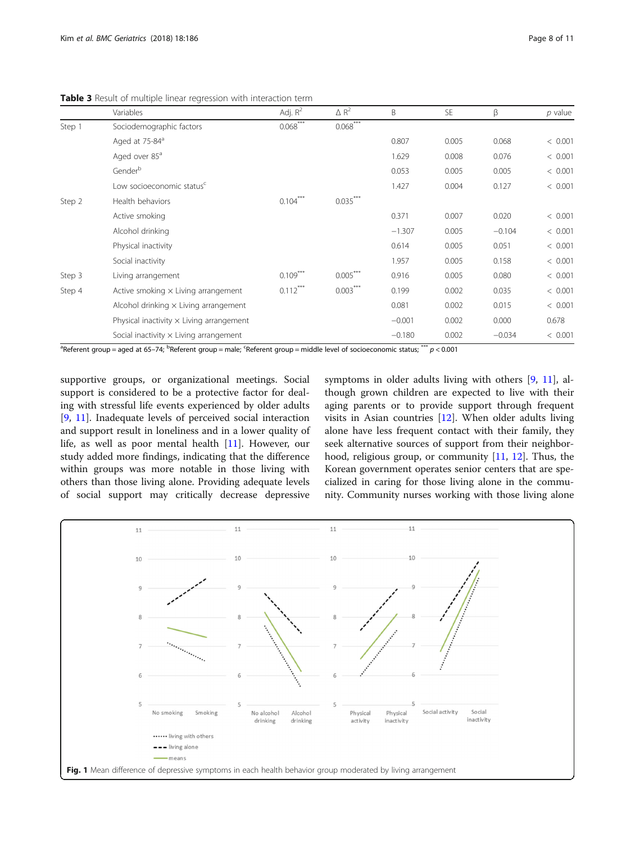|        | Variables                                       | Adj. $R^2$ | $\triangle R^2$ | B        | <b>SE</b> | β        | $p$ value |
|--------|-------------------------------------------------|------------|-----------------|----------|-----------|----------|-----------|
| Step 1 | Sociodemographic factors                        | $0.068***$ | $0.068***$      |          |           |          |           |
|        | Aged at 75-84 <sup>a</sup>                      |            |                 | 0.807    | 0.005     | 0.068    | < 0.001   |
|        | Aged over 85 <sup>a</sup>                       |            |                 | 1.629    | 0.008     | 0.076    | < 0.001   |
|        | Genderb                                         |            |                 | 0.053    | 0.005     | 0.005    | < 0.001   |
|        | Low socioeconomic status <sup>c</sup>           |            |                 | 1.427    | 0.004     | 0.127    | < 0.001   |
| Step 2 | Health behaviors                                | $0.104***$ | $0.035***$      |          |           |          |           |
|        | Active smoking                                  |            |                 | 0.371    | 0.007     | 0.020    | < 0.001   |
|        | Alcohol drinking                                |            |                 | $-1.307$ | 0.005     | $-0.104$ | < 0.001   |
|        | Physical inactivity                             |            |                 | 0.614    | 0.005     | 0.051    | < 0.001   |
|        | Social inactivity                               |            |                 | 1.957    | 0.005     | 0.158    | < 0.001   |
| Step 3 | Living arrangement                              | $0.109***$ | $0.005***$      | 0.916    | 0.005     | 0.080    | < 0.001   |
| Step 4 | Active smoking $\times$ Living arrangement      | $0.112***$ | $0.003***$      | 0.199    | 0.002     | 0.035    | < 0.001   |
|        | Alcohol drinking $\times$ Living arrangement    |            |                 | 0.081    | 0.002     | 0.015    | < 0.001   |
|        | Physical inactivity $\times$ Living arrangement |            |                 | $-0.001$ | 0.002     | 0.000    | 0.678     |
|        | Social inactivity $\times$ Living arrangement   |            |                 | $-0.180$ | 0.002     | $-0.034$ | < 0.001   |

<span id="page-7-0"></span>Table 3 Result of multiple linear regression with interaction term

<sup>a</sup>Referent group = aged at 65–74; <sup>b</sup>Referent group = male; <sup>c</sup>Referent group = middle level of socioeconomic status;  $^{***}$   $p$  < 0.001

supportive groups, or organizational meetings. Social support is considered to be a protective factor for dealing with stressful life events experienced by older adults [[9,](#page-9-0) [11\]](#page-9-0). Inadequate levels of perceived social interaction and support result in loneliness and in a lower quality of life, as well as poor mental health [[11](#page-9-0)]. However, our study added more findings, indicating that the difference within groups was more notable in those living with others than those living alone. Providing adequate levels of social support may critically decrease depressive

symptoms in older adults living with others [[9,](#page-9-0) [11\]](#page-9-0), although grown children are expected to live with their aging parents or to provide support through frequent visits in Asian countries [[12\]](#page-9-0). When older adults living alone have less frequent contact with their family, they seek alternative sources of support from their neighborhood, religious group, or community [[11,](#page-9-0) [12](#page-9-0)]. Thus, the Korean government operates senior centers that are specialized in caring for those living alone in the community. Community nurses working with those living alone

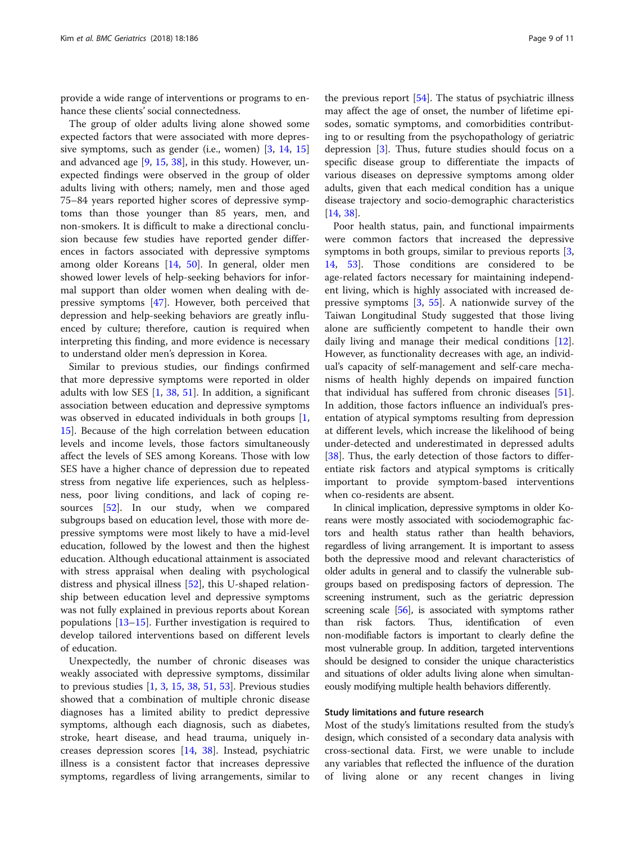provide a wide range of interventions or programs to enhance these clients' social connectedness.

The group of older adults living alone showed some expected factors that were associated with more depressive symptoms, such as gender (i.e., women) [[3,](#page-9-0) [14,](#page-10-0) [15](#page-10-0)] and advanced age [[9](#page-9-0), [15,](#page-10-0) [38\]](#page-10-0), in this study. However, unexpected findings were observed in the group of older adults living with others; namely, men and those aged 75–84 years reported higher scores of depressive symptoms than those younger than 85 years, men, and non-smokers. It is difficult to make a directional conclusion because few studies have reported gender differences in factors associated with depressive symptoms among older Koreans [[14,](#page-10-0) [50\]](#page-10-0). In general, older men showed lower levels of help-seeking behaviors for informal support than older women when dealing with depressive symptoms [[47\]](#page-10-0). However, both perceived that depression and help-seeking behaviors are greatly influenced by culture; therefore, caution is required when interpreting this finding, and more evidence is necessary to understand older men's depression in Korea.

Similar to previous studies, our findings confirmed that more depressive symptoms were reported in older adults with low SES  $[1, 38, 51]$  $[1, 38, 51]$  $[1, 38, 51]$  $[1, 38, 51]$  $[1, 38, 51]$  $[1, 38, 51]$  $[1, 38, 51]$ . In addition, a significant association between education and depressive symptoms was observed in educated individuals in both groups [\[1](#page-9-0), [15\]](#page-10-0). Because of the high correlation between education levels and income levels, those factors simultaneously affect the levels of SES among Koreans. Those with low SES have a higher chance of depression due to repeated stress from negative life experiences, such as helplessness, poor living conditions, and lack of coping resources [\[52](#page-10-0)]. In our study, when we compared subgroups based on education level, those with more depressive symptoms were most likely to have a mid-level education, followed by the lowest and then the highest education. Although educational attainment is associated with stress appraisal when dealing with psychological distress and physical illness [\[52](#page-10-0)], this U-shaped relationship between education level and depressive symptoms was not fully explained in previous reports about Korean populations [\[13](#page-10-0)–[15\]](#page-10-0). Further investigation is required to develop tailored interventions based on different levels of education.

Unexpectedly, the number of chronic diseases was weakly associated with depressive symptoms, dissimilar to previous studies  $[1, 3, 15, 38, 51, 53]$  $[1, 3, 15, 38, 51, 53]$  $[1, 3, 15, 38, 51, 53]$  $[1, 3, 15, 38, 51, 53]$  $[1, 3, 15, 38, 51, 53]$  $[1, 3, 15, 38, 51, 53]$  $[1, 3, 15, 38, 51, 53]$  $[1, 3, 15, 38, 51, 53]$  $[1, 3, 15, 38, 51, 53]$  $[1, 3, 15, 38, 51, 53]$  $[1, 3, 15, 38, 51, 53]$ . Previous studies showed that a combination of multiple chronic disease diagnoses has a limited ability to predict depressive symptoms, although each diagnosis, such as diabetes, stroke, heart disease, and head trauma, uniquely increases depression scores [[14](#page-10-0), [38](#page-10-0)]. Instead, psychiatric illness is a consistent factor that increases depressive symptoms, regardless of living arrangements, similar to

the previous report [\[54](#page-10-0)]. The status of psychiatric illness may affect the age of onset, the number of lifetime episodes, somatic symptoms, and comorbidities contributing to or resulting from the psychopathology of geriatric depression [\[3\]](#page-9-0). Thus, future studies should focus on a specific disease group to differentiate the impacts of various diseases on depressive symptoms among older adults, given that each medical condition has a unique disease trajectory and socio-demographic characteristics [[14,](#page-10-0) [38\]](#page-10-0).

Poor health status, pain, and functional impairments were common factors that increased the depressive symptoms in both groups, similar to previous reports [\[3](#page-9-0), [14,](#page-10-0) [53\]](#page-10-0). Those conditions are considered to be age-related factors necessary for maintaining independent living, which is highly associated with increased depressive symptoms  $[3, 55]$  $[3, 55]$  $[3, 55]$  $[3, 55]$  $[3, 55]$ . A nationwide survey of the Taiwan Longitudinal Study suggested that those living alone are sufficiently competent to handle their own daily living and manage their medical conditions [\[12](#page-9-0)]. However, as functionality decreases with age, an individual's capacity of self-management and self-care mechanisms of health highly depends on impaired function that individual has suffered from chronic diseases [\[51](#page-10-0)]. In addition, those factors influence an individual's presentation of atypical symptoms resulting from depression at different levels, which increase the likelihood of being under-detected and underestimated in depressed adults [[38\]](#page-10-0). Thus, the early detection of those factors to differentiate risk factors and atypical symptoms is critically important to provide symptom-based interventions when co-residents are absent.

In clinical implication, depressive symptoms in older Koreans were mostly associated with sociodemographic factors and health status rather than health behaviors, regardless of living arrangement. It is important to assess both the depressive mood and relevant characteristics of older adults in general and to classify the vulnerable subgroups based on predisposing factors of depression. The screening instrument, such as the geriatric depression screening scale [\[56\]](#page-10-0), is associated with symptoms rather than risk factors. Thus, identification of even non-modifiable factors is important to clearly define the most vulnerable group. In addition, targeted interventions should be designed to consider the unique characteristics and situations of older adults living alone when simultaneously modifying multiple health behaviors differently.

## Study limitations and future research

Most of the study's limitations resulted from the study's design, which consisted of a secondary data analysis with cross-sectional data. First, we were unable to include any variables that reflected the influence of the duration of living alone or any recent changes in living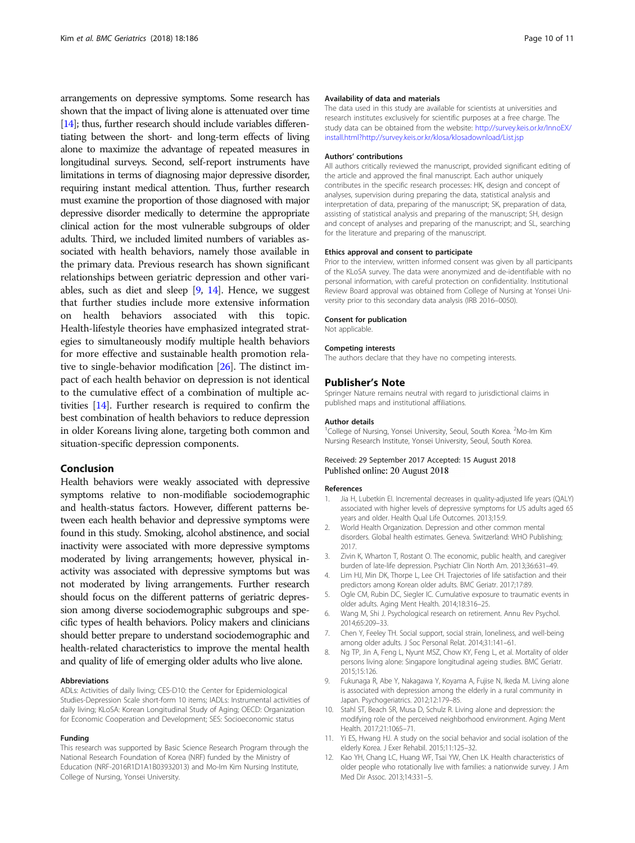<span id="page-9-0"></span>arrangements on depressive symptoms. Some research has shown that the impact of living alone is attenuated over time [[14\]](#page-10-0); thus, further research should include variables differentiating between the short- and long-term effects of living alone to maximize the advantage of repeated measures in longitudinal surveys. Second, self-report instruments have limitations in terms of diagnosing major depressive disorder, requiring instant medical attention. Thus, further research must examine the proportion of those diagnosed with major depressive disorder medically to determine the appropriate clinical action for the most vulnerable subgroups of older adults. Third, we included limited numbers of variables associated with health behaviors, namely those available in the primary data. Previous research has shown significant relationships between geriatric depression and other variables, such as diet and sleep [9, [14](#page-10-0)]. Hence, we suggest that further studies include more extensive information on health behaviors associated with this topic. Health-lifestyle theories have emphasized integrated strategies to simultaneously modify multiple health behaviors for more effective and sustainable health promotion relative to single-behavior modification [\[26](#page-10-0)]. The distinct impact of each health behavior on depression is not identical to the cumulative effect of a combination of multiple activities [\[14\]](#page-10-0). Further research is required to confirm the best combination of health behaviors to reduce depression in older Koreans living alone, targeting both common and situation-specific depression components.

#### Conclusion

Health behaviors were weakly associated with depressive symptoms relative to non-modifiable sociodemographic and health-status factors. However, different patterns between each health behavior and depressive symptoms were found in this study. Smoking, alcohol abstinence, and social inactivity were associated with more depressive symptoms moderated by living arrangements; however, physical inactivity was associated with depressive symptoms but was not moderated by living arrangements. Further research should focus on the different patterns of geriatric depression among diverse sociodemographic subgroups and specific types of health behaviors. Policy makers and clinicians should better prepare to understand sociodemographic and health-related characteristics to improve the mental health and quality of life of emerging older adults who live alone.

#### Abbreviations

ADLs: Activities of daily living; CES-D10: the Center for Epidemiological Studies-Depression Scale short-form 10 items; IADLs: Instrumental activities of daily living; KLoSA: Korean Longitudinal Study of Aging; OECD: Organization for Economic Cooperation and Development; SES: Socioeconomic status

#### Funding

This research was supported by Basic Science Research Program through the National Research Foundation of Korea (NRF) funded by the Ministry of Education (NRF-2016R1D1A1B03932013) and Mo-Im Kim Nursing Institute, College of Nursing, Yonsei University.

### Availability of data and materials

The data used in this study are available for scientists at universities and research institutes exclusively for scientific purposes at a free charge. The study data can be obtained from the website: [http://survey.keis.or.kr/InnoEX/](http://survey.keis.or.kr/InnoEX/install.html?http://survey.keis.or.kr/klosa/klosadownload/List.jsp) [install.html?http://survey.keis.or.kr/klosa/klosadownload/List.jsp](http://survey.keis.or.kr/InnoEX/install.html?http://survey.keis.or.kr/klosa/klosadownload/List.jsp)

#### Authors' contributions

All authors critically reviewed the manuscript, provided significant editing of the article and approved the final manuscript. Each author uniquely contributes in the specific research processes: HK, design and concept of analyses, supervision during preparing the data, statistical analysis and interpretation of data, preparing of the manuscript; SK, preparation of data, assisting of statistical analysis and preparing of the manuscript; SH, design and concept of analyses and preparing of the manuscript; and SL, searching for the literature and preparing of the manuscript.

#### Ethics approval and consent to participate

Prior to the interview, written informed consent was given by all participants of the KLoSA survey. The data were anonymized and de-identifiable with no personal information, with careful protection on confidentiality. Institutional Review Board approval was obtained from College of Nursing at Yonsei University prior to this secondary data analysis (IRB 2016–0050).

#### Consent for publication

Not applicable.

#### Competing interests

The authors declare that they have no competing interests.

#### Publisher's Note

Springer Nature remains neutral with regard to jurisdictional claims in published maps and institutional affiliations.

#### Author details

<sup>1</sup>College of Nursing, Yonsei University, Seoul, South Korea. <sup>2</sup>Mo-lm Kim Nursing Research Institute, Yonsei University, Seoul, South Korea.

### Received: 29 September 2017 Accepted: 15 August 2018 Published online: 20 August 2018

#### References

- 1. Jia H, Lubetkin EI. Incremental decreases in quality-adjusted life years (QALY) associated with higher levels of depressive symptoms for US adults aged 65 years and older. Health Qual Life Outcomes. 2013;15:9.
- 2. World Health Organization. Depression and other common mental disorders. Global health estimates. Geneva. Switzerland: WHO Publishing; 2017.
- 3. Zivin K, Wharton T, Rostant O. The economic, public health, and caregiver burden of late-life depression. Psychiatr Clin North Am. 2013;36:631–49.
- 4. Lim HJ, Min DK, Thorpe L, Lee CH. Trajectories of life satisfaction and their predictors among Korean older adults. BMC Geriatr. 2017;17:89.
- 5. Ogle CM, Rubin DC, Siegler IC. Cumulative exposure to traumatic events in older adults. Aging Ment Health. 2014;18:316–25.
- 6. Wang M, Shi J. Psychological research on retirement. Annu Rev Psychol. 2014;65:209–33.
- 7. Chen Y, Feeley TH. Social support, social strain, loneliness, and well-being among older adults. J Soc Personal Relat. 2014;31:141–61.
- 8. Ng TP, Jin A, Feng L, Nyunt MSZ, Chow KY, Feng L, et al. Mortality of older persons living alone: Singapore longitudinal ageing studies. BMC Geriatr. 2015;15:126.
- 9. Fukunaga R, Abe Y, Nakagawa Y, Koyama A, Fujise N, Ikeda M. Living alone is associated with depression among the elderly in a rural community in Japan. Psychogeriatrics. 2012;12:179–85.
- 10. Stahl ST, Beach SR, Musa D, Schulz R. Living alone and depression: the modifying role of the perceived neighborhood environment. Aging Ment Health. 2017;21:1065–71.
- 11. Yi ES, Hwang HJ. A study on the social behavior and social isolation of the elderly Korea. J Exer Rehabil. 2015;11:125–32.
- 12. Kao YH, Chang LC, Huang WF, Tsai YW, Chen LK. Health characteristics of older people who rotationally live with families: a nationwide survey. J Am Med Dir Assoc. 2013;14:331–5.